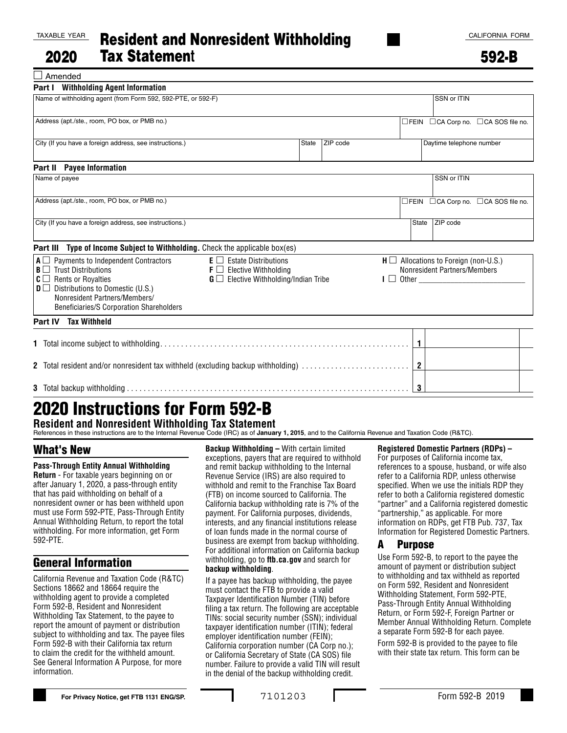Amended

| <b>Part I</b> Withholding Agent Information                                                                                                                                                                                                                    |                                                                                                                                      |       |                |                                                                               |                |                          |                                     |
|----------------------------------------------------------------------------------------------------------------------------------------------------------------------------------------------------------------------------------------------------------------|--------------------------------------------------------------------------------------------------------------------------------------|-------|----------------|-------------------------------------------------------------------------------|----------------|--------------------------|-------------------------------------|
| Name of withholding agent (from Form 592, 592-PTE, or 592-F)                                                                                                                                                                                                   |                                                                                                                                      |       |                |                                                                               |                | SSN or ITIN              |                                     |
| Address (apt./ste., room, PO box, or PMB no.)                                                                                                                                                                                                                  |                                                                                                                                      |       |                |                                                                               |                |                          | □FEIN □CA Corp no. □CA SOS file no. |
| City (If you have a foreign address, see instructions.)                                                                                                                                                                                                        |                                                                                                                                      | State | ZIP code       |                                                                               |                | Daytime telephone number |                                     |
| <b>Payee Information</b><br>Part II                                                                                                                                                                                                                            |                                                                                                                                      |       |                |                                                                               |                |                          |                                     |
| Name of payee                                                                                                                                                                                                                                                  |                                                                                                                                      |       |                |                                                                               |                | SSN or ITIN              |                                     |
| Address (apt./ste., room, PO box, or PMB no.)                                                                                                                                                                                                                  |                                                                                                                                      |       |                |                                                                               | $\square$ FEIN |                          | □ CA Corp no. □ CA SOS file no.     |
| City (If you have a foreign address, see instructions.)                                                                                                                                                                                                        |                                                                                                                                      |       |                |                                                                               | <b>State</b>   | ZIP code                 |                                     |
| Type of Income Subject to Withholding. Check the applicable box(es)<br>Part III                                                                                                                                                                                |                                                                                                                                      |       |                |                                                                               |                |                          |                                     |
| $A \square$ Payments to Independent Contractors<br>$B \Box$ Trust Distributions<br>$C \square$ Rents or Royalties<br>$\mathbf{D} \square$ Distributions to Domestic (U.S.)<br>Nonresident Partners/Members/<br><b>Beneficiaries/S Corporation Shareholders</b> | $E \Box$ Estate Distributions<br>$\mathsf{F} \square$ Elective Withholding<br>$\mathbf{G} \square$ Elective Withholding/Indian Tribe |       |                | $H \square$ Allocations to Foreign (non-U.S.)<br>Nonresident Partners/Members |                |                          |                                     |
| Part IV Tax Withheld                                                                                                                                                                                                                                           |                                                                                                                                      |       |                |                                                                               |                |                          |                                     |
|                                                                                                                                                                                                                                                                |                                                                                                                                      |       |                |                                                                               | $\mathbf{1}$   |                          |                                     |
| 2 Total resident and/or nonresident tax withheld (excluding backup withholding)                                                                                                                                                                                |                                                                                                                                      |       | $\overline{2}$ |                                                                               |                |                          |                                     |
|                                                                                                                                                                                                                                                                |                                                                                                                                      |       | 3              |                                                                               |                |                          |                                     |

# 2020 Instructions for Form 592-B **Resident and Nonresident Withholding Tax Statement**

References in these instructions are to the Internal Revenue Code (IRC) as of **January 1, 2015**, and to the California Revenue and Taxation Code (R&TC).

#### What's New

**Pass-Through Entity Annual Withholding Return** - For taxable years beginning on or after January 1, 2020, a pass-through entity that has paid withholding on behalf of a nonresident owner or has been withheld upon must use Form 592-PTE, Pass-Through Entity Annual Withholding Return, to report the total withholding. For more information, get Form 592-PTE.

## General Information

California Revenue and Taxation Code (R&TC) Sections 18662 and 18664 require the withholding agent to provide a completed Form 592-B, Resident and Nonresident Withholding Tax Statement, to the payee to report the amount of payment or distribution subject to withholding and tax. The payee files Form 592-B with their California tax return to claim the credit for the withheld amount. See General Information A Purpose, for more information.

**Backup Withholding –** With certain limited exceptions, payers that are required to withhold and remit backup withholding to the Internal Revenue Service (IRS) are also required to withhold and remit to the Franchise Tax Board (FTB) on income sourced to California. The California backup withholding rate is 7% of the payment. For California purposes, dividends, interests, and any financial institutions release of loan funds made in the normal course of business are exempt from backup withholding. For additional information on California backup withholding, go to **ftb.ca.gov** and search for **backup withholding**.

If a payee has backup withholding, the payee must contact the FTB to provide a valid Taxpayer Identification Number (TIN) before filing a tax return. The following are acceptable TINs: social security number (SSN); individual taxpayer identification number (ITIN); federal employer identification number (FEIN); California corporation number (CA Corp no.); or California Secretary of State (CA SOS) file number. Failure to provide a valid TIN will result in the denial of the backup withholding credit.

#### **Registered Domestic Partners (RDPs) –**

For purposes of California income tax, references to a spouse, husband, or wife also refer to a California RDP, unless otherwise specified. When we use the initials RDP they refer to both a California registered domestic "partner" and a California registered domestic "partnership," as applicable. For more information on RDPs, get FTB Pub. 737, Tax Information for Registered Domestic Partners.

#### A Purpose

Use Form 592-B, to report to the payee the amount of payment or distribution subject to withholding and tax withheld as reported on Form 592, Resident and Nonresident Withholding Statement, Form 592-PTE, Pass-Through Entity Annual Withholding Return, or Form 592-F, Foreign Partner or Member Annual Withholding Return. Complete a separate Form 592-B for each payee.

Form 592-B is provided to the payee to file with their state tax return. This form can be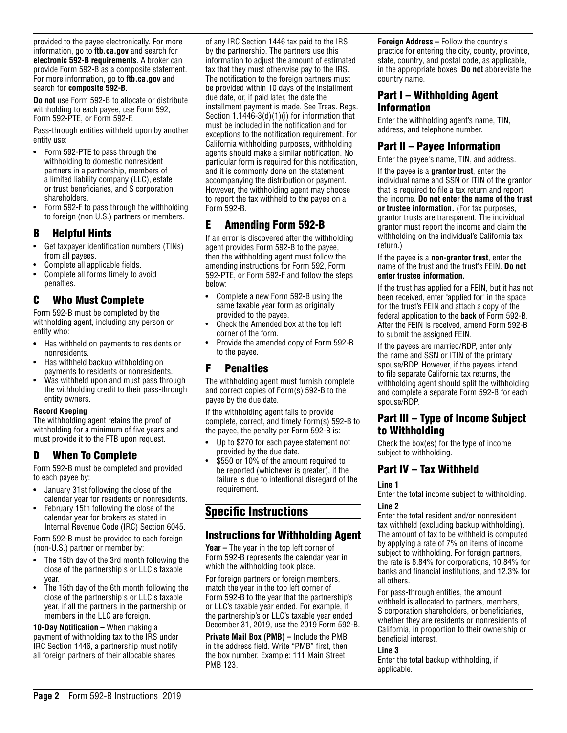provided to the payee electronically. For more information, go to **ftb.ca.gov** and search for **electronic 592-B requirements**. A broker can provide Form 592-B as a composite statement. For more information, go to **ftb.ca.gov** and search for **composite 592-B**.

**Do not** use Form 592-B to allocate or distribute withholding to each payee, use Form 592, Form 592-PTE, or Form 592-F.

Pass-through entities withheld upon by another entity use:

- **•** Form 592-PTE to pass through the withholding to domestic nonresident partners in a partnership, members of a limited liability company (LLC), estate or trust beneficiaries, and S corporation shareholders.
- Form 592-F to pass through the withholding to foreign (non U.S.) partners or members.

## B Helpful Hints

- Get taxpayer identification numbers (TINs) from all payees.
- Complete all applicable fields.
- Complete all forms timely to avoid penalties.

## C Who Must Complete

Form 592-B must be completed by the withholding agent, including any person or entity who:

- **•** Has withheld on payments to residents or nonresidents.
- Has withheld backup withholding on payments to residents or nonresidents.
- Was withheld upon and must pass through the withholding credit to their pass-through entity owners.

#### **Record Keeping**

The withholding agent retains the proof of withholding for a minimum of five years and must provide it to the FTB upon request.

## D When To Complete

Form 592-B must be completed and provided to each payee by:

- **•** January 31st following the close of the calendar year for residents or nonresidents.
- February 15th following the close of the calendar year for brokers as stated in Internal Revenue Code (IRC) Section 6045.

Form 592-B must be provided to each foreign (non-U.S.) partner or member by:

- **•** The 15th day of the 3rd month following the close of the partnership's or LLC's taxable year.
- The 15th day of the 6th month following the close of the partnership's or LLC's taxable year, if all the partners in the partnership or members in the LLC are foreign.

**10-Day Notification –** When making a payment of withholding tax to the IRS under IRC Section 1446, a partnership must notify all foreign partners of their allocable shares

of any IRC Section 1446 tax paid to the IRS by the partnership. The partners use this information to adjust the amount of estimated tax that they must otherwise pay to the IRS. The notification to the foreign partners must be provided within 10 days of the installment due date, or, if paid later, the date the installment payment is made. See Treas. Regs. Section 1.1446-3(d)(1)(i) for information that must be included in the notification and for exceptions to the notification requirement. For California withholding purposes, withholding agents should make a similar notification. No particular form is required for this notification, and it is commonly done on the statement accompanying the distribution or payment. However, the withholding agent may choose to report the tax withheld to the payee on a Form 592-B.

# E Amending Form 592-B

If an error is discovered after the withholding agent provides Form 592-B to the payee, then the withholding agent must follow the amending instructions for Form 592, Form 592-PTE, or Form 592-F and follow the steps below:

- **•** Complete a new Form 592-B using the same taxable year form as originally provided to the payee.
- Check the Amended box at the top left corner of the form.
- Provide the amended copy of Form 592-B to the payee.

### F Penalties

The withholding agent must furnish complete and correct copies of Form(s) 592-B to the payee by the due date.

If the withholding agent fails to provide complete, correct, and timely Form(s) 592-B to the payee, the penalty per Form 592-B is:

- **•** Up to \$270 for each payee statement not provided by the due date.
- \$550 or 10% of the amount required to be reported (whichever is greater), if the failure is due to intentional disregard of the requirement.

# Specific Instructions

## Instructions for Withholding Agent

**Year –** The year in the top left corner of Form 592-B represents the calendar year in which the withholding took place.

For foreign partners or foreign members, match the year in the top left corner of Form 592-B to the year that the partnership's or LLC's taxable year ended. For example, if the partnership's or LLC's taxable year ended December 31, 2019, use the 2019 Form 592-B.

**Private Mail Box (PMB) –** Include the PMB in the address field. Write "PMB" first, then the box number. Example: 111 Main Street PMB 123.

**Foreign Address –** Follow the country's practice for entering the city, county, province, state, country, and postal code, as applicable, in the appropriate boxes. **Do not** abbreviate the country name.

## Part I – Withholding Agent Information

Enter the withholding agent's name, TIN, address, and telephone number.

## Part II – Payee Information

Enter the payee's name, TIN, and address.

If the payee is a **grantor trust**, enter the individual name and SSN or ITIN of the grantor that is required to file a tax return and report the income. **Do not enter the name of the trust or trustee information.** (For tax purposes, grantor trusts are transparent. The individual grantor must report the income and claim the withholding on the individual's California tax return.)

If the payee is a **non-grantor trust**, enter the name of the trust and the trust's FEIN. **Do not enter trustee information.**

If the trust has applied for a FEIN, but it has not been received, enter "applied for" in the space for the trust's FEIN and attach a copy of the federal application to the **back** of Form 592-B. After the FEIN is received, amend Form 592-B to submit the assigned FEIN.

If the payees are married/RDP, enter only the name and SSN or ITIN of the primary spouse/RDP. However, if the payees intend to file separate California tax returns, the withholding agent should split the withholding and complete a separate Form 592-B for each spouse/RDP.

## Part III – Type of Income Subject to Withholding

Check the box(es) for the type of income subject to withholding.

## Part IV – Tax Withheld

#### **Line 1**

Enter the total income subject to withholding. **Line 2**

Enter the total resident and/or nonresident tax withheld (excluding backup withholding). The amount of tax to be withheld is computed by applying a rate of 7% on items of income subject to withholding. For foreign partners, the rate is 8.84% for corporations, 10.84% for banks and financial institutions, and 12.3% for all others.

For pass-through entities, the amount withheld is allocated to partners, members, S corporation shareholders, or beneficiaries, whether they are residents or nonresidents of California, in proportion to their ownership or beneficial interest.

#### **Line 3**

Enter the total backup withholding, if applicable.